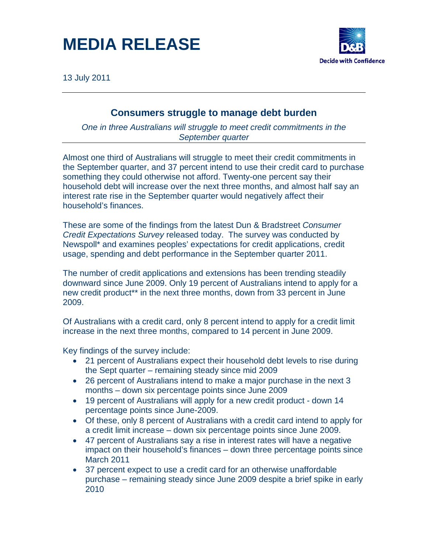### **MEDIA RELEASE**



13 July 2011

### **Consumers struggle to manage debt burden**

*One in three Australians will struggle to meet credit commitments in the September quarter*

Almost one third of Australians will struggle to meet their credit commitments in the September quarter, and 37 percent intend to use their credit card to purchase something they could otherwise not afford. Twenty-one percent say their household debt will increase over the next three months, and almost half say an interest rate rise in the September quarter would negatively affect their household's finances.

These are some of the findings from the latest Dun & Bradstreet *Consumer Credit Expectations Survey* released today. The survey was conducted by Newspoll\* and examines peoples' expectations for credit applications, credit usage, spending and debt performance in the September quarter 2011.

The number of credit applications and extensions has been trending steadily downward since June 2009. Only 19 percent of Australians intend to apply for a new credit product\*\* in the next three months, down from 33 percent in June 2009.

Of Australians with a credit card, only 8 percent intend to apply for a credit limit increase in the next three months, compared to 14 percent in June 2009.

Key findings of the survey include:

- 21 percent of Australians expect their household debt levels to rise during the Sept quarter – remaining steady since mid 2009
- 26 percent of Australians intend to make a major purchase in the next 3 months – down six percentage points since June 2009
- 19 percent of Australians will apply for a new credit product down 14 percentage points since June-2009.
- Of these, only 8 percent of Australians with a credit card intend to apply for a credit limit increase – down six percentage points since June 2009.
- 47 percent of Australians say a rise in interest rates will have a negative impact on their household's finances – down three percentage points since March 2011
- 37 percent expect to use a credit card for an otherwise unaffordable purchase – remaining steady since June 2009 despite a brief spike in early 2010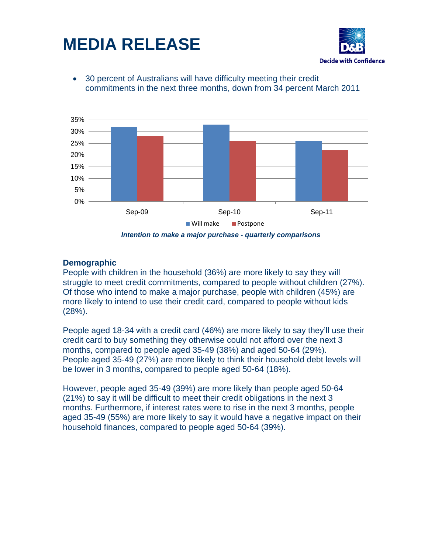



• 30 percent of Australians will have difficulty meeting their credit commitments in the next three months, down from 34 percent March 2011



*Intention to make a major purchase - quarterly comparisons*

### **Demographic**

People with children in the household (36%) are more likely to say they will struggle to meet credit commitments, compared to people without children (27%). Of those who intend to make a major purchase, people with children (45%) are more likely to intend to use their credit card, compared to people without kids (28%).

People aged 18-34 with a credit card (46%) are more likely to say they'll use their credit card to buy something they otherwise could not afford over the next 3 months, compared to people aged 35-49 (38%) and aged 50-64 (29%). People aged 35-49 (27%) are more likely to think their household debt levels will be lower in 3 months, compared to people aged 50-64 (18%).

However, people aged 35-49 (39%) are more likely than people aged 50-64 (21%) to say it will be difficult to meet their credit obligations in the next 3 months. Furthermore, if interest rates were to rise in the next 3 months, people aged 35-49 (55%) are more likely to say it would have a negative impact on their household finances, compared to people aged 50-64 (39%).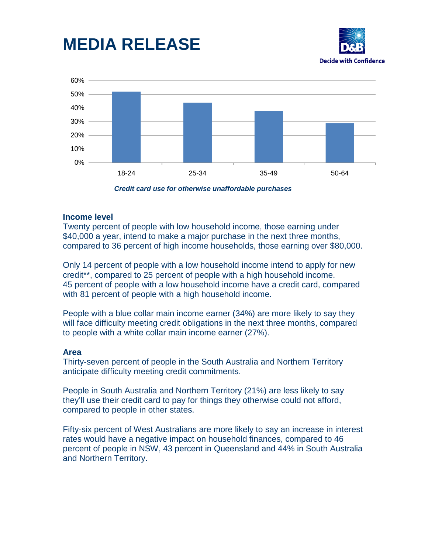## **MEDIA RELEASE**





*Credit card use for otherwise unaffordable purchases*

#### **Income level**

Twenty percent of people with low household income, those earning under \$40,000 a year, intend to make a major purchase in the next three months, compared to 36 percent of high income households, those earning over \$80,000.

Only 14 percent of people with a low household income intend to apply for new credit\*\*, compared to 25 percent of people with a high household income. 45 percent of people with a low household income have a credit card, compared with 81 percent of people with a high household income.

People with a blue collar main income earner (34%) are more likely to say they will face difficulty meeting credit obligations in the next three months, compared to people with a white collar main income earner (27%).

#### **Area**

Thirty-seven percent of people in the South Australia and Northern Territory anticipate difficulty meeting credit commitments.

People in South Australia and Northern Territory (21%) are less likely to say they'll use their credit card to pay for things they otherwise could not afford, compared to people in other states.

Fifty-six percent of West Australians are more likely to say an increase in interest rates would have a negative impact on household finances, compared to 46 percent of people in NSW, 43 percent in Queensland and 44% in South Australia and Northern Territory.